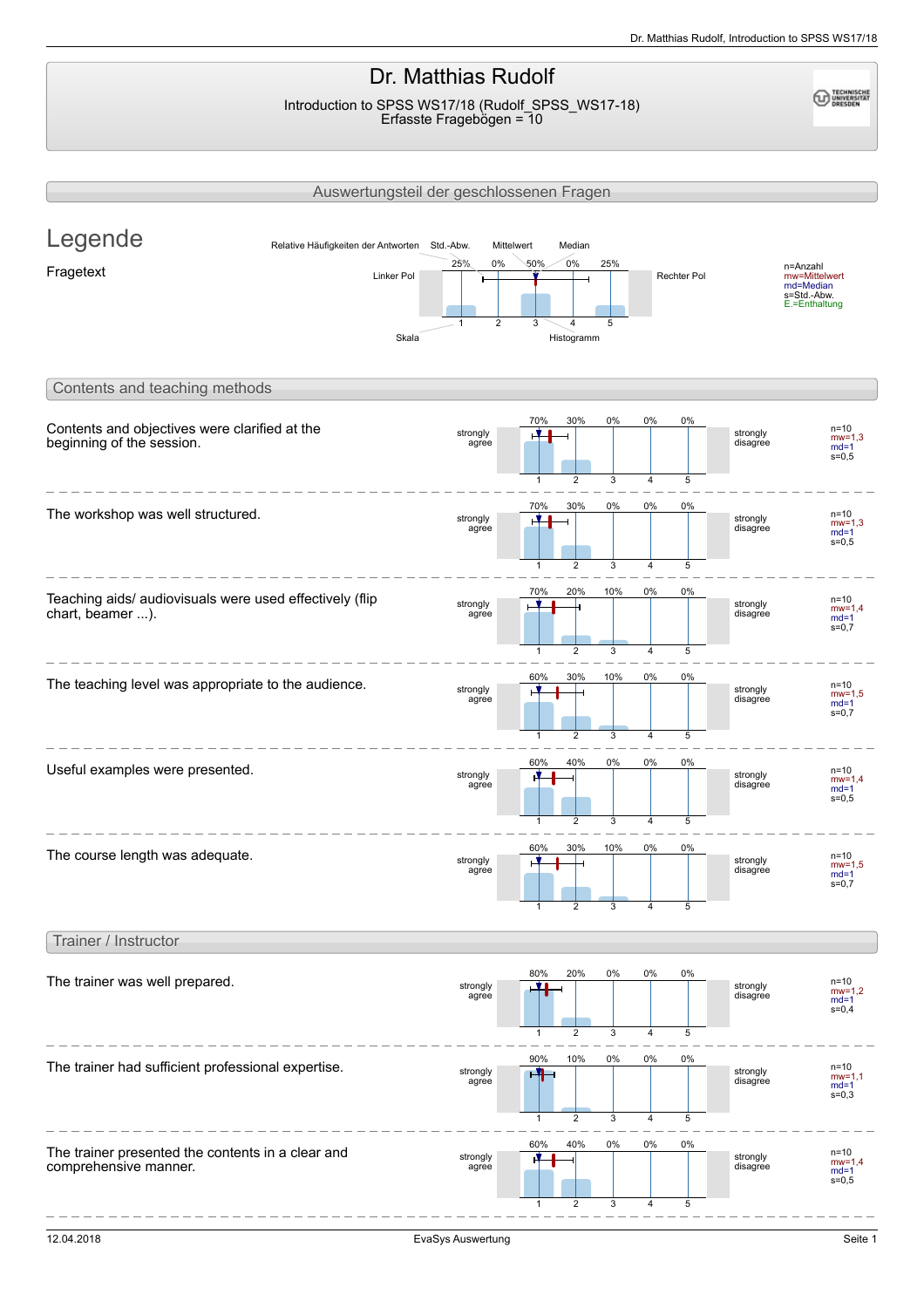# Dr. Matthias Rudolf

Introduction to SPSS WS17/18 (Rudolf\_SPSS\_WS17-18) Erfasste Fragebögen = 10

**ECHNISCHE**<br>UNIVERSITÄT

|                                                                             | Auswertungsteil der geschlossenen Fragen                             |                             |                          |                                            |                      |             |                      |                                                                        |
|-----------------------------------------------------------------------------|----------------------------------------------------------------------|-----------------------------|--------------------------|--------------------------------------------|----------------------|-------------|----------------------|------------------------------------------------------------------------|
| Legende<br>Fragetext                                                        | Relative Häufigkeiten der Antworten Std.-Abw.<br>Linker Pol<br>Skala | 25%<br>0%<br>$\overline{2}$ | Mittelwert<br>50%<br>3   | Median<br>0%<br>25%<br>5<br>Histogramm     |                      | Rechter Pol |                      | n=Anzahl<br>mw=Mittelwert<br>md=Median<br>s=Std.-Abw.<br>E.=Enthaltung |
| Contents and teaching methods                                               |                                                                      |                             |                          |                                            |                      |             |                      |                                                                        |
| Contents and objectives were clarified at the<br>beginning of the session.  |                                                                      | strongly<br>agree           | 70%<br>1                 | 30%<br>0%<br>$\overline{\mathbf{c}}$<br>3  | 0%<br>4              | 0%<br>5     | strongly<br>disagree | $n = 10$<br>$mw=1.3$<br>$md=1$<br>$s = 0, 5$                           |
| The workshop was well structured.                                           |                                                                      | strongly<br>agree           | 70%<br>1                 | 30%<br>0%<br>2<br>3                        | 0%<br>$\overline{4}$ | 0%<br>5     | strongly<br>disagree | $n = 10$<br>$mw=1,3$<br>$md=1$<br>$s = 0, 5$                           |
| Teaching aids/ audiovisuals were used effectively (flip<br>chart, beamer ). |                                                                      | strongly<br>agree           | 70%<br>1                 | 20%<br>10%<br>$\overline{\mathbf{c}}$<br>3 | 0%<br>4              | 0%<br>5     | strongly<br>disagree | $n = 10$<br>$mw=1.4$<br>$md=1$<br>$s = 0,7$                            |
| The teaching level was appropriate to the audience.                         |                                                                      | strongly<br>agree           | 60%<br>$\mathbf{1}$      | 30%<br>10%<br>$\overline{2}$<br>3          | 0%<br>4              | 0%<br>5     | strongly<br>disagree | $n = 10$<br>$mw=1.5$<br>$md=1$<br>$s = 0,7$                            |
| Useful examples were presented.                                             |                                                                      | strongly<br>agree           | 60%<br>1                 | 40%<br>0%<br>2<br>3                        | 0%<br>$\overline{4}$ | 0%<br>5     | strongly<br>disagree | $n = 10$<br>$mw=1,4$<br>$md=1$<br>$s = 0,5$                            |
| The course length was adequate.                                             |                                                                      | strongly<br>agree           | 60%<br>$\mathbf{1}$      | 30%<br>10%<br>$\overline{\mathbf{c}}$<br>3 | 0%<br>4              | 0%<br>5     | strongly<br>disagree | $n = 10$<br>$mw=1,5$<br>$md=1$<br>$s = 0,7$                            |
| Trainer / Instructor                                                        |                                                                      |                             |                          |                                            |                      |             |                      |                                                                        |
| The trainer was well prepared.                                              |                                                                      | strongly<br>agree           | 80%<br>V I<br>1          | 20%<br>0%<br>2<br>3                        | 0%<br>4              | 0%<br>5     | strongly<br>disagree | $n = 10$<br>$mw=1,2$<br>$md=1$<br>$s = 0,4$                            |
| The trainer had sufficient professional expertise.                          |                                                                      | strongly<br>agree           | 90%<br>ж<br>$\mathbf{1}$ | 10%<br>0%<br>$\overline{2}$<br>3           | 0%<br>4              | 0%<br>5     | strongly<br>disagree | $n = 10$<br>$mw = 1,1$<br>$md=1$<br>$s = 0,3$                          |
| The trainer presented the contents in a clear and<br>comprehensive manner.  |                                                                      | strongly<br>agree           | 60%<br>$\mathbf{1}$      | 40%<br>0%<br>$\overline{2}$<br>3           | 0%<br>4              | 0%<br>5     | strongly<br>disagree | $n=10$<br>$mw=1,4$<br>$md=1$<br>$s = 0, 5$                             |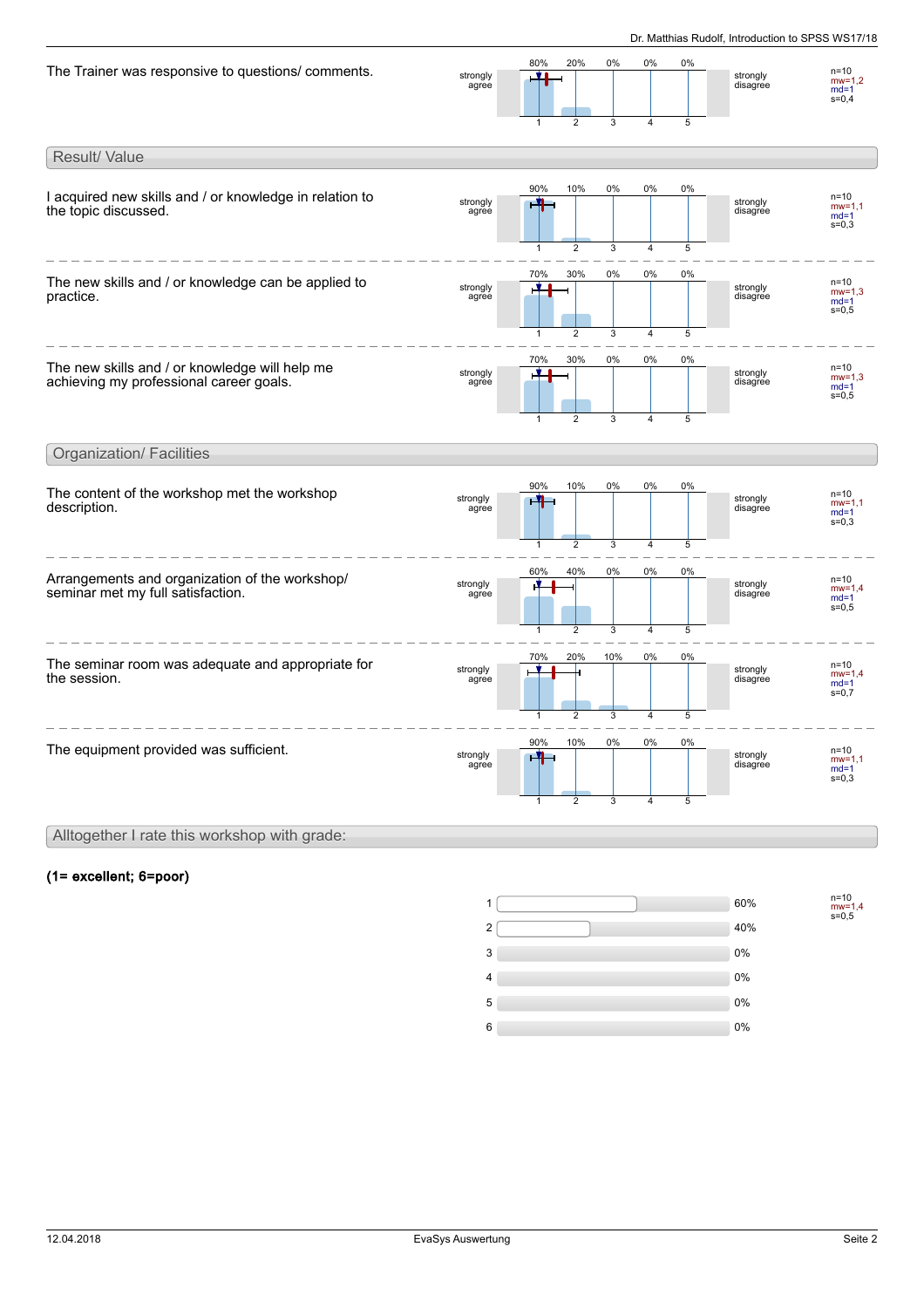| The Trainer was responsive to questions/ comments.                                        | strongly<br>agree | 80%<br><u>yi</u><br>$\mathbf{1}$    | 20%<br>$\overline{2}$                   | 0%<br>3                   | 0%<br>$\overline{4}$                   | 0%<br>5      | strongly<br>disagree | $n = 10$<br>$mw=1.2$<br>$md=1$<br>$s = 0,4$ |
|-------------------------------------------------------------------------------------------|-------------------|-------------------------------------|-----------------------------------------|---------------------------|----------------------------------------|--------------|----------------------|---------------------------------------------|
| Result/ Value                                                                             |                   |                                     |                                         |                           |                                        |              |                      |                                             |
| I acquired new skills and / or knowledge in relation to<br>the topic discussed.           | strongly<br>agree | 90%<br>$\mathbf{H}$<br>$\mathbf{1}$ | 10%<br>$\overline{c}$                   | $0\%$<br>3                | 0%<br>4                                | 0%<br>5      | strongly<br>disagree | $n = 10$<br>$mw=1,1$<br>$md=1$<br>$s = 0,3$ |
| The new skills and / or knowledge can be applied to<br>practice.                          | strongly<br>agree | 70%<br>٣Î.                          | 30%                                     | 0%                        | 0%                                     | 0%           | strongly<br>disagree | $n = 10$<br>$mw=1.3$<br>$md=1$<br>$s = 0,5$ |
| The new skills and / or knowledge will help me<br>achieving my professional career goals. | strongly<br>agree | $\mathbf{1}$<br>70%<br>H<br>1       | $\overline{2}$<br>30%<br>$\overline{2}$ | 3<br>0%<br>$\overline{3}$ | $\overline{4}$<br>0%<br>$\overline{4}$ | 5<br>0%<br>5 | strongly<br>disagree | $n = 10$<br>$mw=1,3$<br>$md=1$<br>$s = 0.5$ |
| <b>Organization/ Facilities</b>                                                           |                   |                                     |                                         |                           |                                        |              |                      |                                             |
| The content of the workshop met the workshop<br>description.                              | strongly<br>agree | 90%<br>-4<br>$\mathbf{1}$           | 10%<br>2                                | 0%<br>3                   | 0%<br>$\overline{4}$                   | 0%<br>5      | strongly<br>disagree | $n=10$<br>$mw=1,1$<br>$md=1$<br>$s = 0.3$   |
| Arrangements and organization of the workshop/<br>seminar met my full satisfaction.       | strongly<br>agree | 60%<br>1                            | 40%<br>$\overline{2}$                   | 0%<br>3                   | 0%<br>$\overline{4}$                   | 0%<br>5      | strongly<br>disagree | $n = 10$<br>$mw=1.4$<br>$md=1$<br>$s = 0,5$ |
| The seminar room was adequate and appropriate for<br>the session.                         | strongly<br>agree | 70%<br>1                            | 20%<br>$\overline{2}$                   | 10%<br>3                  | 0%<br>$\overline{4}$                   | 0%<br>5      | strongly<br>disagree | $n = 10$<br>$mw=1.4$<br>$md=1$<br>$s = 0,7$ |
| The equipment provided was sufficient.                                                    | strongly<br>agree | 90%<br>-4<br>1                      | 10%<br>$\overline{2}$                   | 0%<br>3                   | 0%<br>4                                | 0%<br>5      | strongly<br>disagree | $n = 10$<br>$mw=1,1$<br>$md=1$<br>$s = 0,3$ |
| Alltogether I rate this workshop with grade:                                              |                   |                                     |                                         |                           |                                        |              |                      |                                             |

## (1= excellent; 6=poor)

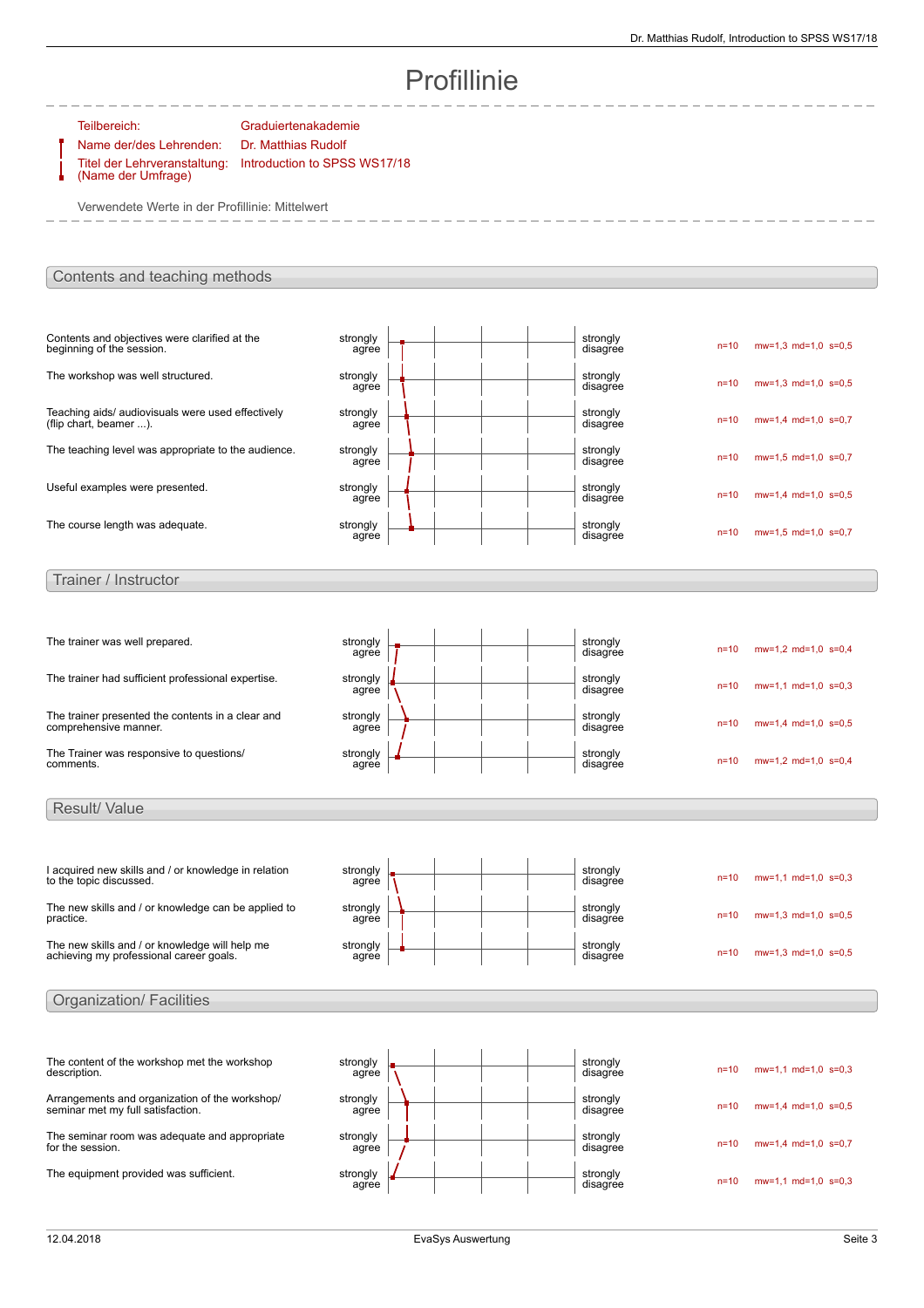# Profillinie

Teilbereich: Graduiertenakademie Name der/des Lehrenden: Dr. Matthias Rudolf Introduction to SPSS WS17/18

Titel der Lehrveranstaltung: (Name der Umfrage)

Verwendete Werte in der Profillinie: Mittelwert

## Contents and teaching methods

| strongly<br>agree |  | $n=10$   | $mw=1.3$ md=1,0 s=0,5                                                                                                                                                                                                |
|-------------------|--|----------|----------------------------------------------------------------------------------------------------------------------------------------------------------------------------------------------------------------------|
| strongly<br>agree |  | $n=10$   | $mw=1.3$ md=1.0 s=0.5                                                                                                                                                                                                |
| strongly<br>agree |  | $n=10$   | $mw=1.4$ md=1.0 s=0.7                                                                                                                                                                                                |
| strongly<br>agree |  | $n=10$   | $mw=1.5$ md=1.0 s=0.7                                                                                                                                                                                                |
| strongly<br>agree |  | $n = 10$ | $mw=1.4$ md=1.0 s=0.5                                                                                                                                                                                                |
| strongly<br>agree |  | $n = 10$ | $mw=1.5$ md=1.0 s=0.7                                                                                                                                                                                                |
|                   |  |          |                                                                                                                                                                                                                      |
| strongly<br>agree |  | $n=10$   | $mw=1,2$ md=1,0 s=0,4                                                                                                                                                                                                |
| strongly<br>agree |  | $n = 10$ | $mw=1.1$ md=1.0 s=0.3                                                                                                                                                                                                |
| strongly<br>agree |  | $n=10$   | $mw=1.4$ md=1,0 s=0,5                                                                                                                                                                                                |
|                   |  |          |                                                                                                                                                                                                                      |
|                   |  |          | strongly<br>disagree<br>strongly<br>disagree<br>strongly<br>disagree<br>strongly<br>disagree<br>strongly<br>disagree<br>strongly<br>disagree<br>strongly<br>disagree<br>strongly<br>disagree<br>strongly<br>disagree |

I acquired new skills and / or knowledge in relation to the topic discussed. strongly agree strongly<br>disagree  $n=10$  mw=1,1 md=1,0 s=0,3 The new skills and / or knowledge can be applied to practice. strongly agree strongly<br>disagree  $n=10$  mw=1,3 md=1,0 s=0,5 The new skills and / or knowledge will help me achieving my professional career goals. strongly agree strongly<br>disagree n=10 mw=1,3 md=1,0 s=0,5 Organization/ Facilities

| The content of the workshop met the workshop<br>description.                        | strongly<br>agree | strongly<br>disagree | $n = 10$ | $mw=1,1$ md=1,0 s=0,3 |
|-------------------------------------------------------------------------------------|-------------------|----------------------|----------|-----------------------|
| Arrangements and organization of the workshop/<br>seminar met my full satisfaction. | strongly<br>agree | strongly<br>disagree | $n = 10$ | $mw=1.4$ md=1,0 s=0,5 |
| The seminar room was adequate and appropriate<br>for the session.                   | strongly<br>agree | strongly<br>disagree | $n = 10$ | $mw=1.4$ md=1.0 s=0.7 |
| The equipment provided was sufficient.                                              | strongly<br>agree | strongly<br>disagree | $n = 10$ | $mw=1.1$ md=1.0 s=0.3 |

Result/ Value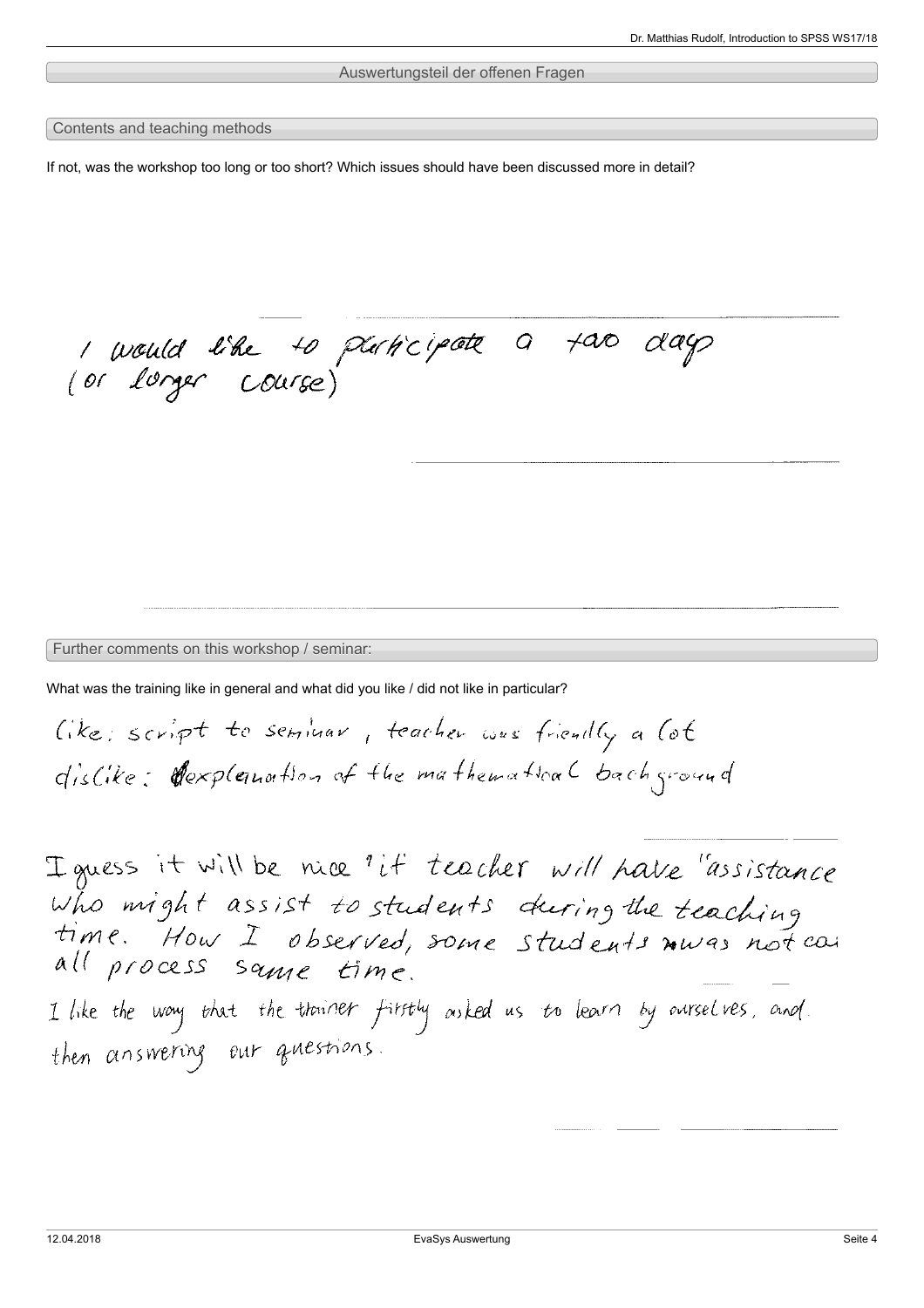## Auswertungsteil der offenen Fragen

### Contents and teaching methods

If not, was the workshop too long or too short? Which issues should have been discussed more in detail?

1 would like to platicipate a tao day

Further comments on this workshop / seminar:

What was the training like in general and what did you like / did not like in particular?

Cike: script to seminar, teacher was friendly a lot dislike: Cexplanation of the mathematical background

Iguess it will be nice "if teacher will have "assistance who might assist to students during the teaching all process same time. I like the way that the thoriner firstly asked us to learn by aurselves, and then answering our questions.